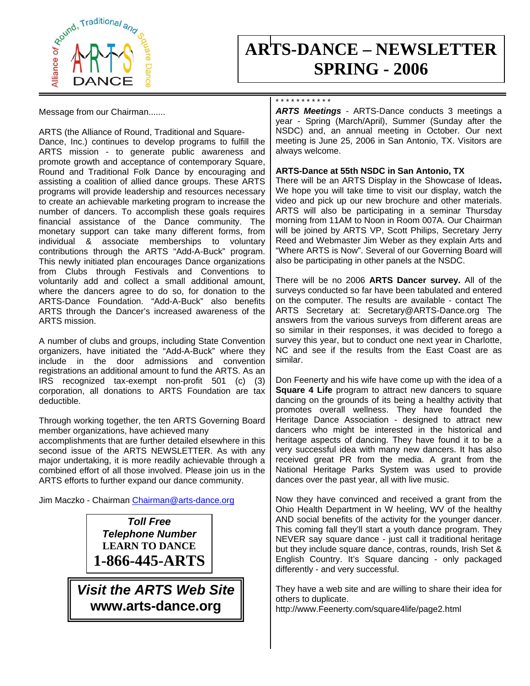

# **ARTS-DANCE – NEWSLETTER SPRING - 2006**

Message from our Chairman.......

ARTS (the Alliance of Round, Traditional and Square-Dance, Inc.) continues to develop programs to fulfill the ARTS mission - to generate public awareness and promote growth and acceptance of contemporary Square, Round and Traditional Folk Dance by encouraging and assisting a coalition of allied dance groups. These ARTS programs will provide leadership and resources necessary to create an achievable marketing program to increase the number of dancers. To accomplish these goals requires financial assistance of the Dance community. The monetary support can take many different forms, from individual & associate memberships to voluntary contributions through the ARTS "Add-A-Buck" program. This newly initiated plan encourages Dance organizations from Clubs through Festivals and Conventions to voluntarily add and collect a small additional amount, where the dancers agree to do so, for donation to the ARTS-Dance Foundation. "Add-A-Buck" also benefits ARTS through the Dancer's increased awareness of the ARTS mission.

A number of clubs and groups, including State Convention organizers, have initiated the "Add-A-Buck" where they include in the door admissions and convention registrations an additional amount to fund the ARTS. As an IRS recognized tax-exempt non-profit 501 (c) (3) corporation, all donations to ARTS Foundation are tax deductible.

Through working together, the ten ARTS Governing Board member organizations, have achieved many

accomplishments that are further detailed elsewhere in this second issue of the ARTS NEWSLETTER. As with any major undertaking, it is more readily achievable through a combined effort of all those involved. Please join us in the ARTS efforts to further expand our dance community.

Jim Maczko - Chairman [Chairman@arts-dance.org](mailto:Chairman@arts-dance.org)

*Toll Free Telephone Number*  **LEARN TO DANCE 1-866-445-ARTS** 

*Visit the ARTS Web Site* **www.arts-dance.org**

### \* \* \* \* \* \* \* \* \* \* \*

*ARTS Meetings* - ARTS-Dance conducts 3 meetings a year - Spring (March/April), Summer (Sunday after the NSDC) and, an annual meeting in October. Our next meeting is June 25, 2006 in San Antonio, TX. Visitors are always welcome.

### **ARTS-Dance at 55th NSDC in San Antonio, TX**

There will be an ARTS Display in the Showcase of Ideas**.**  We hope you will take time to visit our display, watch the video and pick up our new brochure and other materials. ARTS will also be participating in a seminar Thursday morning from 11AM to Noon in Room 007A. Our Chairman will be joined by ARTS VP, Scott Philips, Secretary Jerry Reed and Webmaster Jim Weber as they explain Arts and "Where ARTS is Now". Several of our Governing Board will also be participating in other panels at the NSDC.

There will be no 2006 **ARTS Dancer survey.** All of the surveys conducted so far have been tabulated and entered on the computer. The results are available - contact The ARTS Secretary at: Secretary@ARTS-Dance.org The answers from the various surveys from different areas are so similar in their responses, it was decided to forego a survey this year, but to conduct one next year in Charlotte, NC and see if the results from the East Coast are as similar.

Don Feenerty and his wife have come up with the idea of a **Square 4 Life** program to attract new dancers to square dancing on the grounds of its being a healthy activity that promotes overall wellness. They have founded the Heritage Dance Association - designed to attract new dancers who might be interested in the historical and heritage aspects of dancing. They have found it to be a very successful idea with many new dancers. It has also received great PR from the media. A grant from the National Heritage Parks System was used to provide dances over the past year, all with live music.

Now they have convinced and received a grant from the Ohio Health Department in W heeling, WV of the healthy AND social benefits of the activity for the younger dancer. This coming fall they'll start a youth dance program. They NEVER say square dance - just call it traditional heritage but they include square dance, contras, rounds, Irish Set & English Country. It's Square dancing - only packaged differently - and very successful.

They have a web site and are willing to share their idea for others to duplicate.

http://www.Feenerty.com/square4life/page2.html